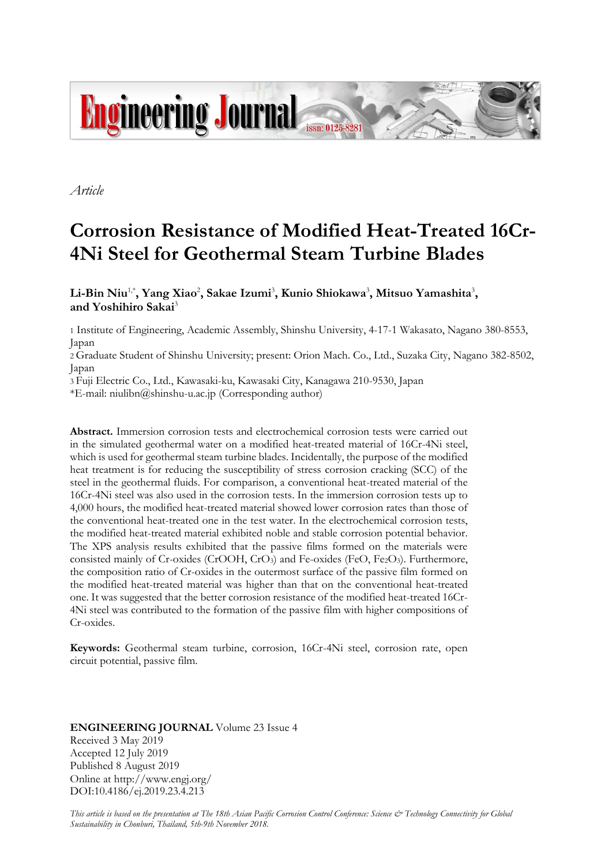

*Article*

# **Corrosion Resistance of Modified Heat-Treated 16Cr-4Ni Steel for Geothermal Steam Turbine Blades**

 $\mathbf{L}$ i-Bin Niu $^{1,*}$ , Yang Xiao<sup>2</sup>, Sakae Izumi<sup>3</sup>, Kunio Shiokawa $^{3}$ , Mitsuo Yamashita $^{3}$ , **and Yoshihiro Sakai**<sup>3</sup>

1 Institute of Engineering, Academic Assembly, Shinshu University, 4-17-1 Wakasato, Nagano 380-8553, Japan

2 Graduate Student of Shinshu University; present: Orion Mach. Co., Ltd., Suzaka City, Nagano 382-8502, Japan

3 Fuji Electric Co., Ltd., Kawasaki-ku, Kawasaki City, Kanagawa 210-9530, Japan

\*E-mail: niulibn@shinshu-u.ac.jp (Corresponding author)

**Abstract.** Immersion corrosion tests and electrochemical corrosion tests were carried out in the simulated geothermal water on a modified heat-treated material of 16Cr-4Ni steel, which is used for geothermal steam turbine blades. Incidentally, the purpose of the modified heat treatment is for reducing the susceptibility of stress corrosion cracking (SCC) of the steel in the geothermal fluids. For comparison, a conventional heat-treated material of the 16Cr-4Ni steel was also used in the corrosion tests. In the immersion corrosion tests up to 4,000 hours, the modified heat-treated material showed lower corrosion rates than those of the conventional heat-treated one in the test water. In the electrochemical corrosion tests, the modified heat-treated material exhibited noble and stable corrosion potential behavior. The XPS analysis results exhibited that the passive films formed on the materials were consisted mainly of Cr-oxides (CrOOH,  $CrO<sub>3</sub>$ ) and Fe-oxides (FeO, Fe<sub>2</sub>O<sub>3</sub>). Furthermore, the composition ratio of Cr-oxides in the outermost surface of the passive film formed on the modified heat-treated material was higher than that on the conventional heat-treated one. It was suggested that the better corrosion resistance of the modified heat-treated 16Cr-4Ni steel was contributed to the formation of the passive film with higher compositions of Cr-oxides.

**Keywords:** Geothermal steam turbine, corrosion, 16Cr-4Ni steel, corrosion rate, open circuit potential, passive film.

# **ENGINEERING JOURNAL** Volume 23 Issue 4 Received 3 May 2019 Accepted 12 July 2019 Published 8 August 2019 Online at http://www.engj.org/ DOI:10.4186/ej.2019.23.4.213

*This article is based on the presentation at The 18th Asian Pacific Corrosion Control Conference: Science & Technology Connectivity for Global Sustainability in Chonburi, Thailand, 5th-9th November 2018.*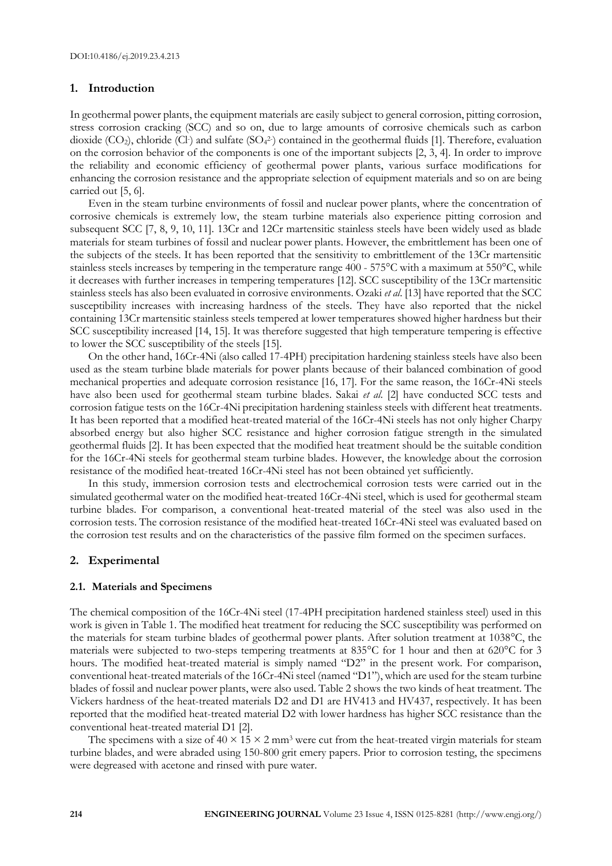## **1. Introduction**

In geothermal power plants, the equipment materials are easily subject to general corrosion, pitting corrosion, stress corrosion cracking (SCC) and so on, due to large amounts of corrosive chemicals such as carbon dioxide (CO<sub>2</sub>), chloride (Cl·) and sulfate (SO<sub>4</sub><sup>2</sup>) contained in the geothermal fluids [1]. Therefore, evaluation on the corrosion behavior of the components is one of the important subjects [2, 3, 4]. In order to improve the reliability and economic efficiency of geothermal power plants, various surface modifications for enhancing the corrosion resistance and the appropriate selection of equipment materials and so on are being carried out [5, 6].

Even in the steam turbine environments of fossil and nuclear power plants, where the concentration of corrosive chemicals is extremely low, the steam turbine materials also experience pitting corrosion and subsequent SCC [7, 8, 9, 10, 11]. 13Cr and 12Cr martensitic stainless steels have been widely used as blade materials for steam turbines of fossil and nuclear power plants. However, the embrittlement has been one of the subjects of the steels. It has been reported that the sensitivity to embrittlement of the 13Cr martensitic stainless steels increases by tempering in the temperature range 400 - 575°C with a maximum at 550°C, while it decreases with further increases in tempering temperatures [12]. SCC susceptibility of the 13Cr martensitic stainless steels has also been evaluated in corrosive environments. Ozaki *et al*. [13] have reported that the SCC susceptibility increases with increasing hardness of the steels. They have also reported that the nickel containing 13Cr martensitic stainless steels tempered at lower temperatures showed higher hardness but their SCC susceptibility increased [14, 15]. It was therefore suggested that high temperature tempering is effective to lower the SCC susceptibility of the steels [15].

On the other hand, 16Cr-4Ni (also called 17-4PH) precipitation hardening stainless steels have also been used as the steam turbine blade materials for power plants because of their balanced combination of good mechanical properties and adequate corrosion resistance [16, 17]. For the same reason, the 16Cr-4Ni steels have also been used for geothermal steam turbine blades. Sakai *et al*. [2] have conducted SCC tests and corrosion fatigue tests on the 16Cr-4Ni precipitation hardening stainless steels with different heat treatments. It has been reported that a modified heat-treated material of the 16Cr-4Ni steels has not only higher Charpy absorbed energy but also higher SCC resistance and higher corrosion fatigue strength in the simulated geothermal fluids [2]. It has been expected that the modified heat treatment should be the suitable condition for the 16Cr-4Ni steels for geothermal steam turbine blades. However, the knowledge about the corrosion resistance of the modified heat-treated 16Cr-4Ni steel has not been obtained yet sufficiently.

In this study, immersion corrosion tests and electrochemical corrosion tests were carried out in the simulated geothermal water on the modified heat-treated 16Cr-4Ni steel, which is used for geothermal steam turbine blades. For comparison, a conventional heat-treated material of the steel was also used in the corrosion tests. The corrosion resistance of the modified heat-treated 16Cr-4Ni steel was evaluated based on the corrosion test results and on the characteristics of the passive film formed on the specimen surfaces.

## **2. Experimental**

#### **2.1. Materials and Specimens**

The chemical composition of the 16Cr-4Ni steel (17-4PH precipitation hardened stainless steel) used in this work is given in Table 1. The modified heat treatment for reducing the SCC susceptibility was performed on the materials for steam turbine blades of geothermal power plants. After solution treatment at 1038°C, the materials were subjected to two-steps tempering treatments at 835°C for 1 hour and then at 620°C for 3 hours. The modified heat-treated material is simply named "D2" in the present work. For comparison, conventional heat-treated materials of the 16Cr-4Ni steel (named "D1"), which are used for the steam turbine blades of fossil and nuclear power plants, were also used. Table 2 shows the two kinds of heat treatment. The Vickers hardness of the heat-treated materials D2 and D1 are HV413 and HV437, respectively. It has been reported that the modified heat-treated material D2 with lower hardness has higher SCC resistance than the conventional heat-treated material D1 [2].

The specimens with a size of  $40 \times 15 \times 2$  mm<sup>3</sup> were cut from the heat-treated virgin materials for steam turbine blades, and were abraded using 150-800 grit emery papers. Prior to corrosion testing, the specimens were degreased with acetone and rinsed with pure water.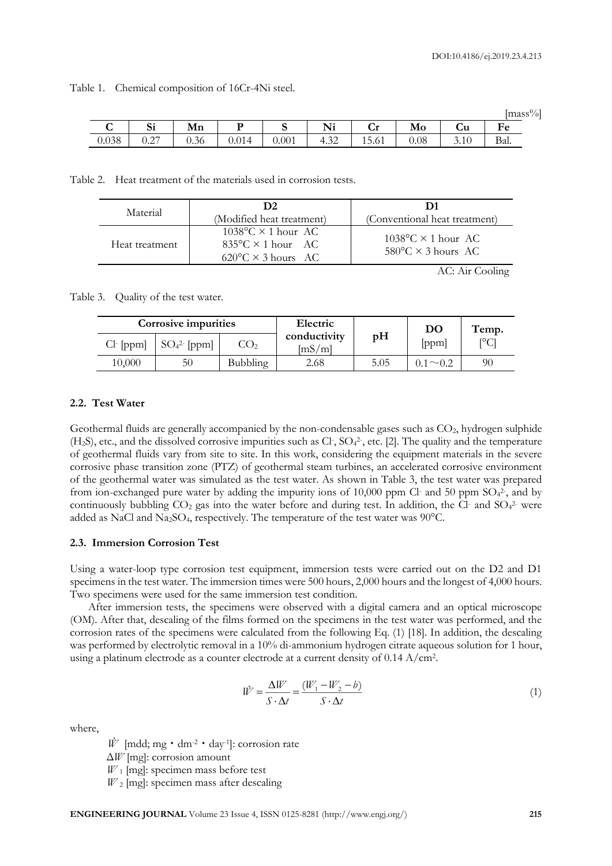|       |                   |      |       |       |      |       |      |      | lmass%l     |
|-------|-------------------|------|-------|-------|------|-------|------|------|-------------|
|       | $\mathbf{C}$<br>◡ | Mn   | D     |       | Ni   | Cr    | Mo   | Cu   | $F_{\rm P}$ |
| 0.038 | 0.27              | 0.36 | 0.014 | 0.001 | 4.32 | 15.61 | 0.08 | 3.10 | Bal.        |

Table 1. Chemical composition of 16Cr-4Ni steel.

Table 2. Heat treatment of the materials used in corrosion tests.

| Material       | (Modified heat treatment)                                                                                 | (Conventional heat treatment)                                               |
|----------------|-----------------------------------------------------------------------------------------------------------|-----------------------------------------------------------------------------|
| Heat treatment | $1038^{\circ}$ C × 1 hour AC<br>$835^{\circ}$ C $\times$ 1 hour AC<br>$620^{\circ}$ C $\times$ 3 hours AC | $1038\textdegree C \times 1$ hour AC<br>$580^{\circ}$ C $\times$ 3 hours AC |

AC: Air Cooling

Table 3. Quality of the test water.

|            | Corrosive impurities |                 | Electric               |      | DO  | Temp.              |
|------------|----------------------|-----------------|------------------------|------|-----|--------------------|
| $Cl-[ppm]$ | $SO_4^2$ - [ppm]     | CO <sub>2</sub> | conductivity<br>[mS/m] | pH   | ppm | $\Gamma^{\circ}$ C |
| 10,000     | 50                   | Bubbling        | 2.68                   | 5.05 |     | 90                 |

# **2.2. Test Water**

Geothermal fluids are generally accompanied by the non-condensable gases such as  $CO<sub>2</sub>$ , hydrogen sulphide  $(H<sub>2</sub>S)$ , etc., and the dissolved corrosive impurities such as Cl,  $SO<sub>4</sub><sup>2</sup>$ , etc. [2]. The quality and the temperature of geothermal fluids vary from site to site. In this work, considering the equipment materials in the severe corrosive phase transition zone (PTZ) of geothermal steam turbines, an accelerated corrosive environment of the geothermal water was simulated as the test water. As shown in Table 3, the test water was prepared from ion-exchanged pure water by adding the impurity ions of 10,000 ppm Cl- and 50 ppm SO<sub>4</sub><sup>2</sup>, and by continuously bubbling  $CO<sub>2</sub>$  gas into the water before and during test. In addition, the Cl- and  $SO<sub>4</sub><sup>2</sup>$  were added as NaCl and Na2SO4, respectively. The temperature of the test water was 90°C.

#### **2.3. Immersion Corrosion Test**

Using a water-loop type corrosion test equipment, immersion tests were carried out on the D2 and D1 specimens in the test water. The immersion times were 500 hours, 2,000 hours and the longest of 4,000 hours. Two specimens were used for the same immersion test condition.

After immersion tests, the specimens were observed with a digital camera and an optical microscope (OM). After that, descaling of the films formed on the specimens in the test water was performed, and the corrosion rates of the specimens were calculated from the following Eq. (1) [18]. In addition, the descaling was performed by electrolytic removal in a 10% di-ammonium hydrogen citrate aqueous solution for 1 hour, using a platinum electrode as a counter electrode at a current density of 0.14 A/cm<sup>2</sup> .

$$
\dot{W} = \frac{\Delta W}{S \cdot \Delta t} = \frac{(W_1 - W_2 - b)}{S \cdot \Delta t}
$$
\n(1)

where,

 $\dot{W}$  [mdd; mg  $\cdot$  dm<sup>-2</sup>  $\cdot$  day<sup>-1</sup>]: corrosion rate Δ*W* [mg]: corrosion amount *W*<sub>1</sub> [mg]: specimen mass before test  $W_2$  [mg]: specimen mass after descaling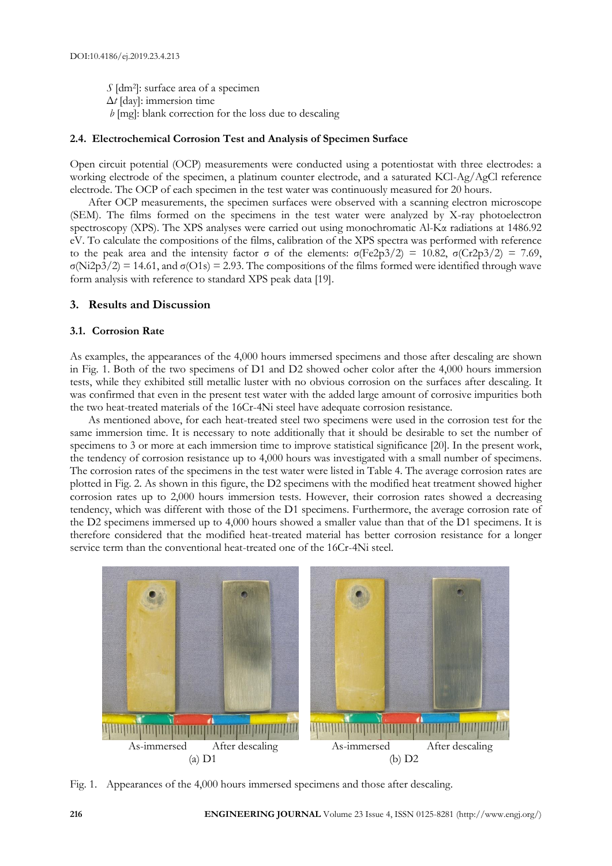*S* [dm<sup>2</sup>]: surface area of a specimen Δ*t* [day]: immersion time *b* [mg]: blank correction for the loss due to descaling

# **2.4. Electrochemical Corrosion Test and Analysis of Specimen Surface**

Open circuit potential (OCP) measurements were conducted using a potentiostat with three electrodes: a working electrode of the specimen, a platinum counter electrode, and a saturated KCl-Ag/AgCl reference electrode. The OCP of each specimen in the test water was continuously measured for 20 hours.

After OCP measurements, the specimen surfaces were observed with a scanning electron microscope (SEM). The films formed on the specimens in the test water were analyzed by X-ray photoelectron spectroscopy (XPS). The XPS analyses were carried out using monochromatic Al-Kα radiations at 1486.92 eV. To calculate the compositions of the films, calibration of the XPS spectra was performed with reference to the peak area and the intensity factor σ of the elements:  $\sigma$ (Fe2p3/2) = 10.82,  $\sigma$ (Cr2p3/2) = 7.69, σ(Ni2p3/2) = 14.61, and σ(O1s) = 2.93. The compositions of the films formed were identified through wave form analysis with reference to standard XPS peak data [19].

## **3. Results and Discussion**

## **3.1. Corrosion Rate**

As examples, the appearances of the 4,000 hours immersed specimens and those after descaling are shown in Fig. 1. Both of the two specimens of D1 and D2 showed ocher color after the 4,000 hours immersion tests, while they exhibited still metallic luster with no obvious corrosion on the surfaces after descaling. It was confirmed that even in the present test water with the added large amount of corrosive impurities both the two heat-treated materials of the 16Cr-4Ni steel have adequate corrosion resistance.

As mentioned above, for each heat-treated steel two specimens were used in the corrosion test for the same immersion time. It is necessary to note additionally that it should be desirable to set the number of specimens to 3 or more at each immersion time to improve statistical significance [20]. In the present work, the tendency of corrosion resistance up to 4,000 hours was investigated with a small number of specimens. The corrosion rates of the specimens in the test water were listed in Table 4. The average corrosion rates are plotted in Fig. 2. As shown in this figure, the D2 specimens with the modified heat treatment showed higher corrosion rates up to 2,000 hours immersion tests. However, their corrosion rates showed a decreasing tendency, which was different with those of the D1 specimens. Furthermore, the average corrosion rate of the D2 specimens immersed up to 4,000 hours showed a smaller value than that of the D1 specimens. It is therefore considered that the modified heat-treated material has better corrosion resistance for a longer service term than the conventional heat-treated one of the 16Cr-4Ni steel.



Fig. 1. Appearances of the 4,000 hours immersed specimens and those after descaling.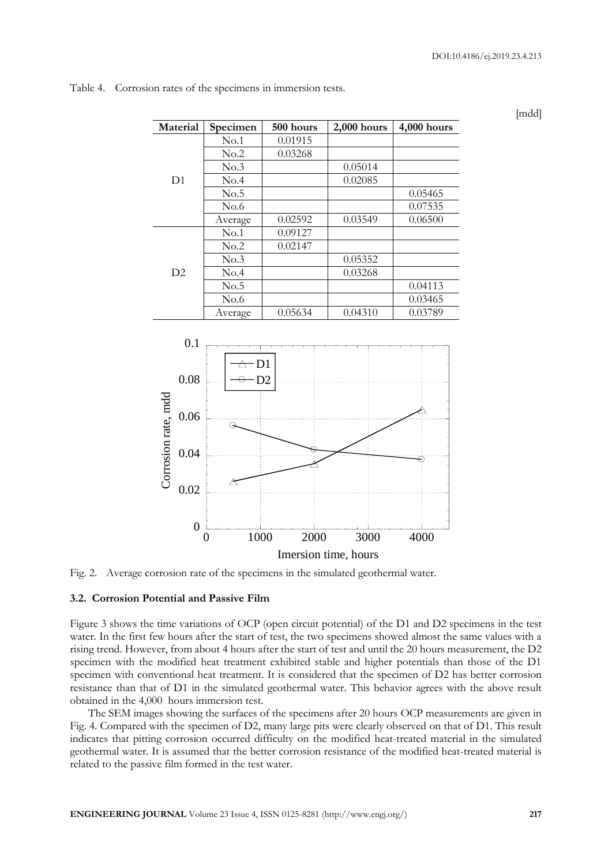[mdd]

| Material                                            | Specimen                                  | 500 hours | 2,000 hours                  | 4,000 hours |  |
|-----------------------------------------------------|-------------------------------------------|-----------|------------------------------|-------------|--|
|                                                     | No.1                                      | 0.01915   |                              |             |  |
|                                                     | No.2                                      | 0.03268   |                              |             |  |
|                                                     | No.3                                      |           | 0.05014                      |             |  |
| D <sub>1</sub>                                      | No.4                                      |           | 0.02085                      |             |  |
|                                                     | No.5                                      |           |                              | 0.05465     |  |
|                                                     | No.6                                      |           |                              | 0.07535     |  |
|                                                     | Average                                   | 0.02592   | 0.03549                      | 0.06500     |  |
|                                                     | No.1                                      | 0.09127   |                              |             |  |
|                                                     | No.2                                      | 0.02147   |                              |             |  |
|                                                     | No.3                                      |           | 0.05352                      |             |  |
| D2                                                  | No.4                                      |           | 0.03268                      |             |  |
|                                                     | No.5                                      |           |                              | 0.04113     |  |
|                                                     | No.6                                      |           |                              | 0.03465     |  |
|                                                     | Average                                   | 0.05634   | 0.04310                      | 0.03789     |  |
| 0.08<br>Corrosion rate, mdd<br>0.06<br>0.04<br>0.02 | $-D1$<br>$\overline{\triangle}$<br>Э<br>A | D2        |                              |             |  |
| $\mathbf{0}$                                        | 1000<br>$\overline{0}$                    | 2000      | 3000<br>Imersion time, hours | 4000        |  |

Table 4. Corrosion rates of the specimens in immersion tests.

Fig. 2. Average corrosion rate of the specimens in the simulated geothermal water.

# **3.2. Corrosion Potential and Passive Film**

Figure 3 shows the time variations of OCP (open circuit potential) of the D1 and D2 specimens in the test water. In the first few hours after the start of test, the two specimens showed almost the same values with a rising trend. However, from about 4 hours after the start of test and until the 20 hours measurement, the D2 specimen with the modified heat treatment exhibited stable and higher potentials than those of the D1 specimen with conventional heat treatment. It is considered that the specimen of D2 has better corrosion resistance than that of D1 in the simulated geothermal water. This behavior agrees with the above result obtained in the 4,000 hours immersion test.

The SEM images showing the surfaces of the specimens after 20 hours OCP measurements are given in Fig. 4. Compared with the specimen of D2, many large pits were clearly observed on that of D1. This result indicates that pitting corrosion occurred difficulty on the modified heat-treated material in the simulated geothermal water. It is assumed that the better corrosion resistance of the modified heat-treated material is related to the passive film formed in the test water.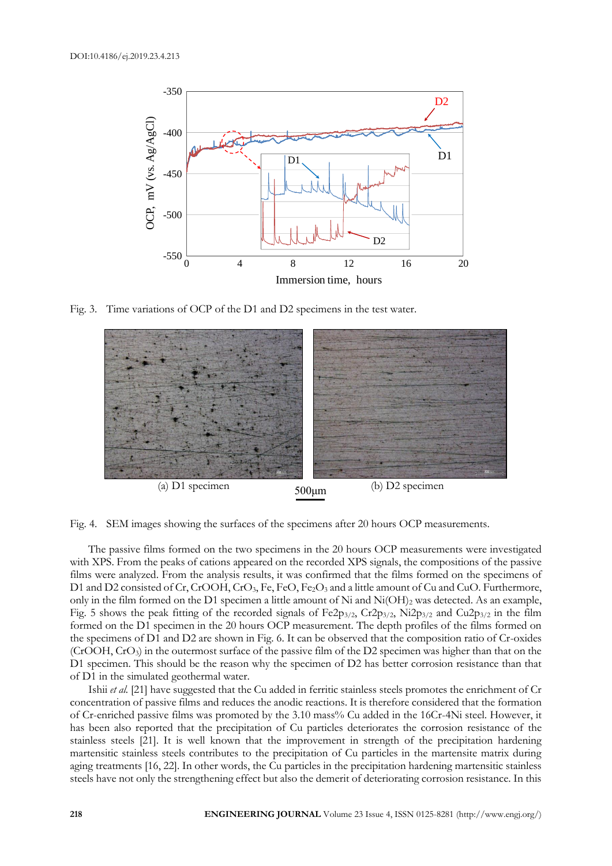

Fig. 3. Time variations of OCP of the D1 and D2 specimens in the test water.



Fig. 4. SEM images showing the surfaces of the specimens after 20 hours OCP measurements.

The passive films formed on the two specimens in the 20 hours OCP measurements were investigated with XPS. From the peaks of cations appeared on the recorded XPS signals, the compositions of the passive films were analyzed. From the analysis results, it was confirmed that the films formed on the specimens of D1 and D2 consisted of Cr, CrOOH, CrO<sub>3</sub>, Fe, FeO, Fe<sub>2</sub>O<sub>3</sub> and a little amount of Cu and CuO. Furthermore, only in the film formed on the D1 specimen a little amount of Ni and Ni(OH)<sub>2</sub> was detected. As an example, Fig. 5 shows the peak fitting of the recorded signals of Fe2p<sub>3/2</sub>, Cr2p<sub>3/2</sub>, Ni2p<sub>3/2</sub> and Cu2p<sub>3/2</sub> in the film formed on the D1 specimen in the 20 hours OCP measurement. The depth profiles of the films formed on the specimens of D1 and D2 are shown in Fig. 6. It can be observed that the composition ratio of Cr-oxides (CrOOH, CrO3) in the outermost surface of the passive film of the D2 specimen was higher than that on the D1 specimen. This should be the reason why the specimen of D2 has better corrosion resistance than that of D1 in the simulated geothermal water.

Ishii *et al.* [21] have suggested that the Cu added in ferritic stainless steels promotes the enrichment of Cr concentration of passive films and reduces the anodic reactions. It is therefore considered that the formation of Cr-enriched passive films was promoted by the 3.10 mass% Cu added in the 16Cr-4Ni steel. However, it has been also reported that the precipitation of Cu particles deteriorates the corrosion resistance of the stainless steels [21]. It is well known that the improvement in strength of the precipitation hardening martensitic stainless steels contributes to the precipitation of Cu particles in the martensite matrix during aging treatments [16, 22]. In other words, the Cu particles in the precipitation hardening martensitic stainless steels have not only the strengthening effect but also the demerit of deteriorating corrosion resistance. In this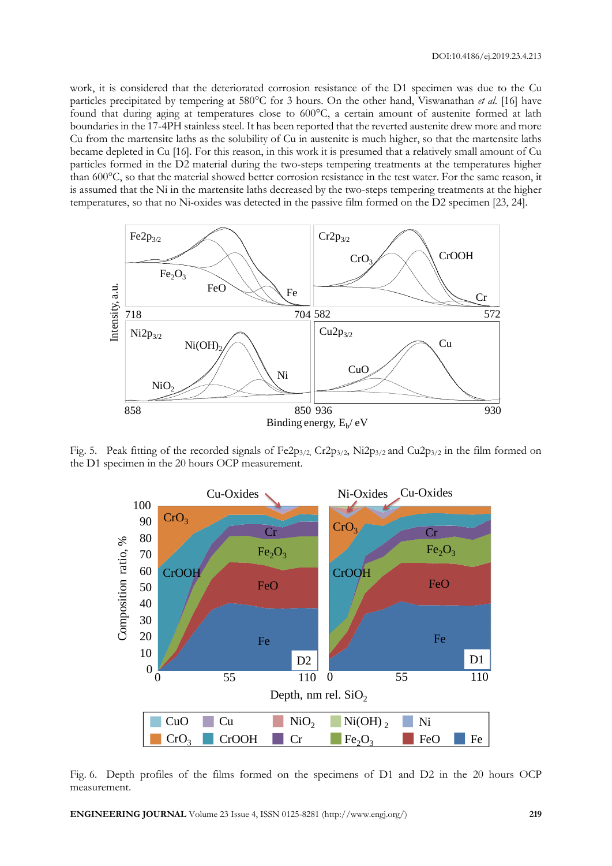work, it is considered that the deteriorated corrosion resistance of the D1 specimen was due to the Cu particles precipitated by tempering at 580°C for 3 hours. On the other hand, Viswanathan *et al*. [16] have found that during aging at temperatures close to 600°C, a certain amount of austenite formed at lath boundaries in the 17-4PH stainless steel. It has been reported that the reverted austenite drew more and more Cu from the martensite laths as the solubility of Cu in austenite is much higher, so that the martensite laths became depleted in Cu [16]. For this reason, in this work it is presumed that a relatively small amount of Cu particles formed in the D2 material during the two-steps tempering treatments at the temperatures higher than 600°C, so that the material showed better corrosion resistance in the test water. For the same reason, it is assumed that the Ni in the martensite laths decreased by the two-steps tempering treatments at the higher temperatures, so that no Ni-oxides was detected in the passive film formed on the D2 specimen [23, 24].



Fig. 5. Peak fitting of the recorded signals of  $Fe2p_{3/2}$ ,  $Cr2p_{3/2}$ ,  $Ni2p_{3/2}$  and  $Cu2p_{3/2}$  in the film formed on the D1 specimen in the 20 hours OCP measurement.



Fig. 6. Depth profiles of the films formed on the specimens of D1 and D2 in the 20 hours OCP s of the films formed on the specimens of  $D1$  and  $D2$ measurement.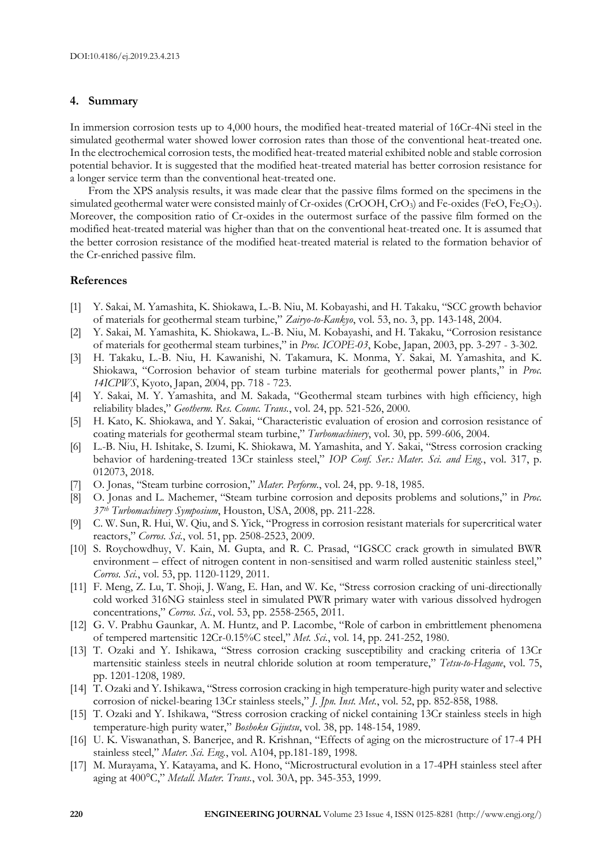#### **4. Summary**

In immersion corrosion tests up to 4,000 hours, the modified heat-treated material of 16Cr-4Ni steel in the simulated geothermal water showed lower corrosion rates than those of the conventional heat-treated one. In the electrochemical corrosion tests, the modified heat-treated material exhibited noble and stable corrosion potential behavior. It is suggested that the modified heat-treated material has better corrosion resistance for a longer service term than the conventional heat-treated one.

From the XPS analysis results, it was made clear that the passive films formed on the specimens in the simulated geothermal water were consisted mainly of Cr-oxides (CrOOH, CrO<sub>3</sub>) and Fe-oxides (FeO, Fe<sub>2</sub>O<sub>3</sub>). Moreover, the composition ratio of Cr-oxides in the outermost surface of the passive film formed on the modified heat-treated material was higher than that on the conventional heat-treated one. It is assumed that the better corrosion resistance of the modified heat-treated material is related to the formation behavior of the Cr-enriched passive film.

## **References**

- [1] Y. Sakai, M. Yamashita, K. Shiokawa, L.-B. Niu, M. Kobayashi, and H. Takaku, "SCC growth behavior of materials for geothermal steam turbine," *Zairyo-to-Kankyo*, vol. 53, no. 3, pp. 143-148, 2004.
- [2] Y. Sakai, M. Yamashita, K. Shiokawa, L.-B. Niu, M. Kobayashi, and H. Takaku, "Corrosion resistance of materials for geothermal steam turbines," in *Proc. ICOPE-03*, Kobe, Japan, 2003, pp. 3-297 - 3-302.
- [3] H. Takaku, L.-B. Niu, H. Kawanishi, N. Takamura, K. Monma, Y. Sakai, M. Yamashita, and K. Shiokawa, "Corrosion behavior of steam turbine materials for geothermal power plants," in *Proc. 14ICPWS*, Kyoto, Japan, 2004, pp. 718 - 723.
- [4] Y. Sakai, M. Y. Yamashita, and M. Sakada, "Geothermal steam turbines with high efficiency, high reliability blades," *Geotherm. Res. Counc. Trans.*, vol. 24, pp. 521-526, 2000.
- [5] H. Kato, K. Shiokawa, and Y. Sakai, "Characteristic evaluation of erosion and corrosion resistance of coating materials for geothermal steam turbine," *Turbomachinery*, vol. 30, pp. 599-606, 2004.
- [6] L.-B. Niu, H. Ishitake, S. Izumi, K. Shiokawa, M. Yamashita, and Y. Sakai, "Stress corrosion cracking behavior of hardening-treated 13Cr stainless steel," *IOP Conf. Ser.: Mater. Sci. and Eng.*, vol. 317, p. 012073, 2018.
- [7] O. Jonas, "Steam turbine corrosion," *Mater. Perform.*, vol. 24, pp. 9-18, 1985.
- [8] O. Jonas and L. Machemer, "Steam turbine corrosion and deposits problems and solutions," in *Proc. 37th Turbomachinery Symposium*, Houston, USA, 2008, pp. 211-228.
- [9] C. W. Sun, R. Hui, W. Qiu, and S. Yick, "Progress in corrosion resistant materials for supercritical water reactors," *Corros. Sci.*, vol. 51, pp. 2508-2523, 2009.
- [10] S. Roychowdhuy, V. Kain, M. Gupta, and R. C. Prasad, "IGSCC crack growth in simulated BWR environment – effect of nitrogen content in non-sensitised and warm rolled austenitic stainless steel," *Corros. Sci.*, vol. 53, pp. 1120-1129, 2011.
- [11] F. Meng, Z. Lu, T. Shoji, J. Wang, E. Han, and W. Ke, "Stress corrosion cracking of uni-directionally cold worked 316NG stainless steel in simulated PWR primary water with various dissolved hydrogen concentrations," *Corros. Sci.*, vol. 53, pp. 2558-2565, 2011.
- [12] G. V. Prabhu Gaunkar, A. M. Huntz, and P. Lacombe, "Role of carbon in embrittlement phenomena of tempered martensitic 12Cr-0.15%C steel," *Met. Sci.*, vol. 14, pp. 241-252, 1980.
- [13] T. Ozaki and Y. Ishikawa, "Stress corrosion cracking susceptibility and cracking criteria of 13Cr martensitic stainless steels in neutral chloride solution at room temperature," *Tetsu-to-Hagane*, vol. 75, pp. 1201-1208, 1989.
- [14] T. Ozaki and Y. Ishikawa, "Stress corrosion cracking in high temperature-high purity water and selective corrosion of nickel-bearing 13Cr stainless steels," *J. Jpn. Inst. Met.*, vol. 52, pp. 852-858, 1988.
- [15] T. Ozaki and Y. Ishikawa, "Stress corrosion cracking of nickel containing 13Cr stainless steels in high temperature-high purity water," *Boshoku Gijutsu*, vol. 38, pp. 148-154, 1989.
- [16] U. K. Viswanathan, S. Banerjee, and R. Krishnan, "Effects of aging on the microstructure of 17-4 PH stainless steel," *Mater. Sci. Eng.*, vol. A104, pp.181-189, 1998.
- [17] M. Murayama, Y. Katayama, and K. Hono, "Microstructural evolution in a 17-4PH stainless steel after aging at 400°C," *Metall. Mater. Trans.*, vol. 30A, pp. 345-353, 1999.